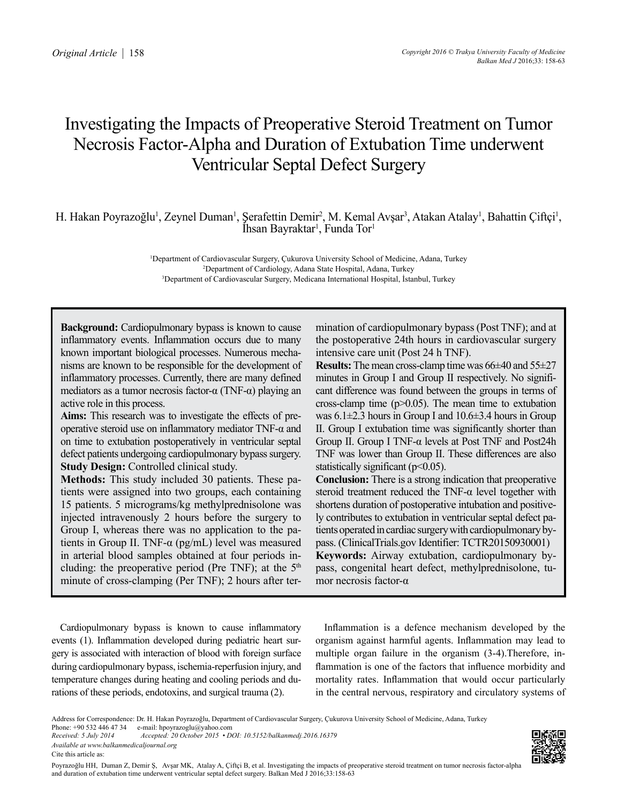# Investigating the Impacts of Preoperative Steroid Treatment on Tumor Necrosis Factor-Alpha and Duration of Extubation Time underwent Ventricular Septal Defect Surgery

H. Hakan Poyrazoğlu<sup>1</sup>, Zeynel Duman<sup>1</sup>, Şerafettin Demir<sup>2</sup>, M. Kemal Avşar<sup>3</sup>, Atakan Atalay<sup>1</sup>, Bahattin Çiftçi<sup>1</sup>, Ihsan Bayraktar<sup>1</sup>, Funda Tor<sup>1</sup>

> 1 Department of Cardiovascular Surgery, Çukurova University School of Medicine, Adana, Turkey 2 Department of Cardiology, Adana State Hospital, Adana, Turkey 3 Department of Cardiovascular Surgery, Medicana International Hospital, İstanbul, Turkey

**Background:** Cardiopulmonary bypass is known to cause inflammatory events. Inflammation occurs due to many known important biological processes. Numerous mechanisms are known to be responsible for the development of inflammatory processes. Currently, there are many defined mediators as a tumor necrosis factor- $\alpha$  (TNF- $\alpha$ ) playing an active role in this process.

**Aims:** This research was to investigate the effects of preoperative steroid use on inflammatory mediator TNF-α and on time to extubation postoperatively in ventricular septal defect patients undergoing cardiopulmonary bypass surgery. **Study Design:** Controlled clinical study.

**Methods:** This study included 30 patients. These patients were assigned into two groups, each containing 15 patients. 5 micrograms/kg methylprednisolone was injected intravenously 2 hours before the surgery to Group I, whereas there was no application to the patients in Group II. TNF- $\alpha$  (pg/mL) level was measured in arterial blood samples obtained at four periods including: the preoperative period (Pre TNF); at the  $5<sup>th</sup>$ minute of cross-clamping (Per TNF); 2 hours after termination of cardiopulmonary bypass (Post TNF); and at the postoperative 24th hours in cardiovascular surgery intensive care unit (Post 24 h TNF).

**Results:** The mean cross-clamp time was 66±40 and 55±27 minutes in Group I and Group II respectively. No significant difference was found between the groups in terms of cross-clamp time  $(p>0.05)$ . The mean time to extubation was  $6.1\pm2.3$  hours in Group I and  $10.6\pm3.4$  hours in Group II. Group I extubation time was significantly shorter than Group II. Group I TNF-α levels at Post TNF and Post24h TNF was lower than Group II. These differences are also statistically significant  $(p<0.05)$ .

**Conclusion:** There is a strong indication that preoperative steroid treatment reduced the TNF-α level together with shortens duration of postoperative intubation and positively contributes to extubation in ventricular septal defect patients operated in cardiac surgery with cardiopulmonary bypass. (ClinicalTrials.gov Identifier: TCTR20150930001) **Keywords:** Airway extubation, cardiopulmonary bypass, congenital heart defect, methylprednisolone, tumor necrosis factor-α

Cardiopulmonary bypass is known to cause inflammatory events (1). Inflammation developed during pediatric heart surgery is associated with interaction of blood with foreign surface during cardiopulmonary bypass, ischemia-reperfusion injury, and temperature changes during heating and cooling periods and durations of these periods, endotoxins, and surgical trauma (2).

Inflammation is a defence mechanism developed by the organism against harmful agents. Inflammation may lead to multiple organ failure in the organism (3-4).Therefore, inflammation is one of the factors that influence morbidity and mortality rates. Inflammation that would occur particularly in the central nervous, respiratory and circulatory systems of



Address for Correspondence: Dr. H. Hakan Poyrazoğlu, Department of Cardiovascular Surgery, Çukurova University School of Medicine, Adana, Turkey<br>Phone: +90 532 446 47 34 e-mail: hnovrazoglu@vahoo.com

Phone: +90 532 446 47 34 e-mail: hpoyrazoglu@yahoo.com<br>Received: 5 July 2014 Accepted: 20 October 2015 • D

*Received: 5 July 2014 Accepted: 20 October 2015 • DOI: 10.5152/balkanmedj.2016.16379 Available at www.balkanmedicaljournal.org*

Cite this article as: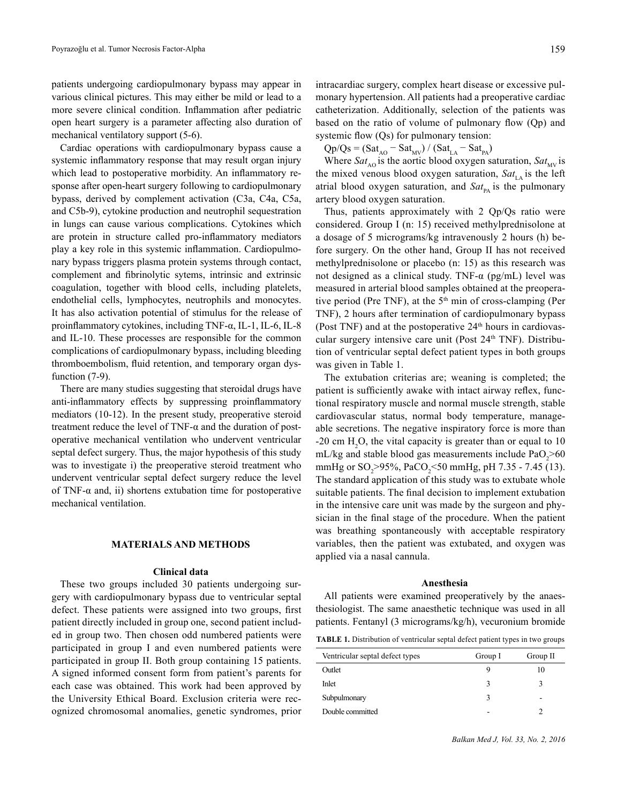patients undergoing cardiopulmonary bypass may appear in various clinical pictures. This may either be mild or lead to a more severe clinical condition. Inflammation after pediatric open heart surgery is a parameter affecting also duration of mechanical ventilatory support (5-6).

Cardiac operations with cardiopulmonary bypass cause a systemic inflammatory response that may result organ injury which lead to postoperative morbidity. An inflammatory response after open-heart surgery following to cardiopulmonary bypass, derived by complement activation (C3a, C4a, C5a, and C5b-9), cytokine production and neutrophil sequestration in lungs can cause various complications. Cytokines which are protein in structure called pro-inflammatory mediators play a key role in this systemic inflammation. Cardiopulmonary bypass triggers plasma protein systems through contact, complement and fibrinolytic sytems, intrinsic and extrinsic coagulation, together with blood cells, including platelets, endothelial cells, lymphocytes, neutrophils and monocytes. It has also activation potential of stimulus for the release of proinflammatory cytokines, including TNF-α, IL-1, IL-6, IL-8 and IL-10. These processes are responsible for the common complications of cardiopulmonary bypass, including bleeding thromboembolism, fluid retention, and temporary organ dysfunction  $(7-9)$ .

There are many studies suggesting that steroidal drugs have anti-inflammatory effects by suppressing proinflammatory mediators (10-12). In the present study, preoperative steroid treatment reduce the level of TNF- $\alpha$  and the duration of postoperative mechanical ventilation who undervent ventricular septal defect surgery. Thus, the major hypothesis of this study was to investigate i) the preoperative steroid treatment who undervent ventricular septal defect surgery reduce the level of TNF- $\alpha$  and, ii) shortens extubation time for postoperative mechanical ventilation.

### **MATERIALS AND METHODS**

## **Clinical data**

These two groups included 30 patients undergoing surgery with cardiopulmonary bypass due to ventricular septal defect. These patients were assigned into two groups, first patient directly included in group one, second patient included in group two. Then chosen odd numbered patients were participated in group I and even numbered patients were participated in group II. Both group containing 15 patients. A signed informed consent form from patient's parents for each case was obtained. This work had been approved by the University Ethical Board. Exclusion criteria were recognized chromosomal anomalies, genetic syndromes, prior

intracardiac surgery, complex heart disease or excessive pulmonary hypertension. All patients had a preoperative cardiac catheterization. Additionally, selection of the patients was based on the ratio of volume of pulmonary flow (Qp) and systemic flow (Qs) for pulmonary tension:

 $Qp/Qs = (Sat_{AO} - Sat_{MV}) / (Sat_{LA} - Sat_{PA})$ 

Where  $Sat_{\text{A0}}$  is the aortic blood oxygen saturation,  $Sat_{\text{MV}}$  is the mixed venous blood oxygen saturation,  $Sat_{LA}$  is the left atrial blood oxygen saturation, and  $Sat_{pA}$  is the pulmonary artery blood oxygen saturation.

Thus, patients approximately with 2 Qp/Qs ratio were considered. Group I (n: 15) received methylprednisolone at a dosage of 5 micrograms/kg intravenously 2 hours (h) before surgery. On the other hand, Group II has not received methylprednisolone or placebo (n: 15) as this research was not designed as a clinical study. TNF- $α$  (pg/mL) level was measured in arterial blood samples obtained at the preoperative period (Pre TNF), at the  $5<sup>th</sup>$  min of cross-clamping (Per TNF), 2 hours after termination of cardiopulmonary bypass (Post TNF) and at the postoperative  $24<sup>th</sup>$  hours in cardiovascular surgery intensive care unit (Post 24<sup>th</sup> TNF). Distribution of ventricular septal defect patient types in both groups was given in Table 1.

The extubation criterias are; weaning is completed; the patient is sufficiently awake with intact airway reflex, functional respiratory muscle and normal muscle strength, stable cardiovascular status, normal body temperature, manageable secretions. The negative inspiratory force is more than  $-20$  cm H<sub>2</sub>O, the vital capacity is greater than or equal to 10 mL/kg and stable blood gas measurements include  $PaO<sub>2</sub> > 60$ mmHg or  $SO_2$ >95%, PaCO<sub>2</sub><50 mmHg, pH 7.35 - 7.45 (13). The standard application of this study was to extubate whole suitable patients. The final decision to implement extubation in the intensive care unit was made by the surgeon and physician in the final stage of the procedure. When the patient was breathing spontaneously with acceptable respiratory variables, then the patient was extubated, and oxygen was applied via a nasal cannula.

## **Anesthesia**

All patients were examined preoperatively by the anaesthesiologist. The same anaesthetic technique was used in all patients. Fentanyl (3 micrograms/kg/h), vecuronium bromide

**TABLE 1.** Distribution of ventricular septal defect patient types in two groups

| Ventricular septal defect types | Group I | Group II |
|---------------------------------|---------|----------|
| Outlet                          |         | 10       |
| Inlet                           | ι       | ٦        |
| Subpulmonary                    | ζ       | -        |
| Double committed                |         | ာ        |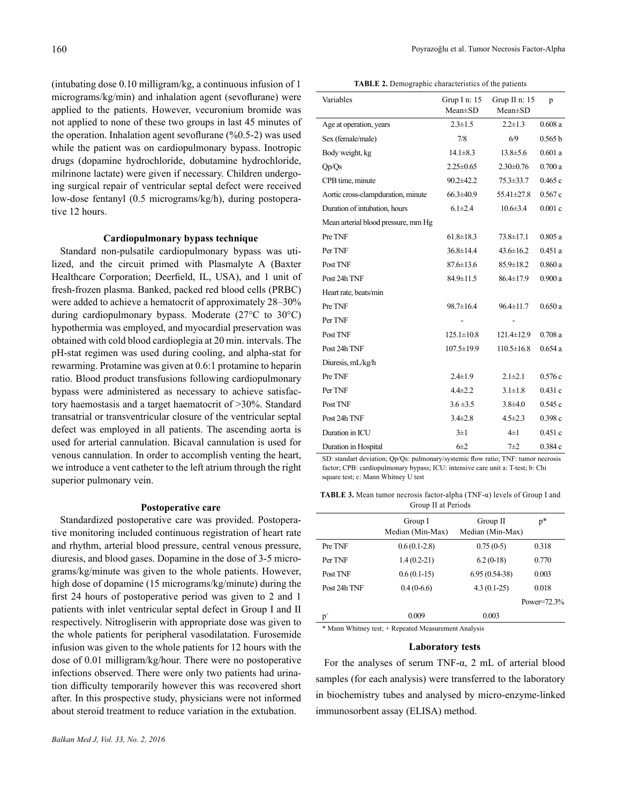(intubating dose 0.10 milligram/kg, a continuous infusion of 1 micrograms/kg/min) and inhalation agent (sevoflurane) were applied to the patients. However, vecuronium bromide was not applied to none of these two groups in last 45 minutes of the operation. Inhalation agent sevoflurane (%0.5-2) was used while the patient was on cardiopulmonary bypass. Inotropic drugs (dopamine hydrochloride, dobutamine hydrochloride, milrinone lactate) were given if necessary. Children undergoing surgical repair of ventricular septal defect were received low-dose fentanyl (0.5 micrograms/kg/h), during postoperative 12 hours.

# **Cardiopulmonary bypass technique**

Standard non-pulsatile cardiopulmonary bypass was utilized, and the circuit primed with Plasmalyte A (Baxter Healthcare Corporation; Deerfield, IL, USA), and 1 unit of fresh-frozen plasma. Banked, packed red blood cells (PRBC) were added to achieve a hematocrit of approximately 28–30% during cardiopulmonary bypass. Moderate (27°C to 30°C) hypothermia was employed, and myocardial preservation was obtained with cold blood cardioplegia at 20 min. intervals. The pH-stat regimen was used during cooling, and alpha-stat for rewarming. Protamine was given at 0.6:1 protamine to heparin ratio. Blood product transfusions following cardiopulmonary bypass were administered as necessary to achieve satisfactory haemostasis and a target haematocrit of >30%. Standard transatrial or transventricular closure of the ventricular septal defect was employed in all patients. The ascending aorta is used for arterial cannulation. Bicaval cannulation is used for venous cannulation. In order to accomplish venting the heart, we introduce a vent catheter to the left atrium through the right superior pulmonary vein.

# **Postoperative care**

Standardized postoperative care was provided. Postoperative monitoring included continuous registration of heart rate and rhythm, arterial blood pressure, central venous pressure, diuresis, and blood gases. Dopamine in the dose of 3-5 micrograms/kg/minute was given to the whole patients. However, high dose of dopamine (15 micrograms/kg/minute) during the first 24 hours of postoperative period was given to 2 and 1 patients with inlet ventricular septal defect in Group I and II respectively. Nitrogliserin with appropriate dose was given to the whole patients for peripheral vasodilatation. Furosemide infusion was given to the whole patients for 12 hours with the dose of 0.01 milligram/kg/hour. There were no postoperative infections observed. There were only two patients had urination difficulty temporarily however this was recovered short after. In this prospective study, physicians were not informed about steroid treatment to reduce variation in the extubation.

**TABLE 2.** Demographic characteristics of the patients

| Variables                           | Grup I n: $15$<br>$Mean \pm SD$ | Grup II $n: 15$<br>$Mean \pm SD$ | p       |
|-------------------------------------|---------------------------------|----------------------------------|---------|
| Age at operation, years             | $2.3 \pm 1.5$                   | $2.2 \pm 1.3$                    | 0.608a  |
| Sex (female/male)                   | 7/8                             | 6/9                              | 0.565 b |
| Body weight, kg                     | $14.1 \pm 8.3$                  | $13.8 \pm 5.6$                   | 0.601a  |
| Op/Qs                               | $2.25 \pm 0.65$                 | $2.30\pm0.76$                    | 0.700a  |
| CPB time, minute                    | $90.2 \pm 42.2$                 | $75.3 \pm 33.7$                  | 0.465c  |
| Aortic cross-clampduration, minute  | $66.3 \pm 40.9$                 | 55.41±27.8                       | 0.567c  |
| Duration of intubation, hours       | $6.1 \pm 2.4$                   | $10.6 \pm 3.4$                   | 0.001c  |
| Mean arterial blood pressure, mm Hg |                                 |                                  |         |
| Pre TNF                             | $61.8 \pm 18.3$                 | $73.8 \pm 17.1$                  | 0.805a  |
| Per TNF                             | $36.8 \pm 14.4$                 | $43.6 \pm 16.2$                  | 0.451a  |
| Post TNF                            | $87.6 \pm 13.6$                 | 85.9±18.2                        | 0.860a  |
| Post 24h TNF                        | 84.9±11.5                       | 86.4±17.9                        | 0.900a  |
| Heart rate, beats/min               |                                 |                                  |         |
| Pre TNF                             | 98.7±16.4                       | $96.4 \pm 11.7$                  | 0.650a  |
| Per TNF                             |                                 |                                  |         |
| Post TNF                            | $125.1 \pm 10.8$                | $121.4 \pm 12.9$                 | 0.708a  |
| Post 24h TNF                        | $107.5 \pm 19.9$                | $110.5 \pm 16.8$                 | 0.654a  |
| Diuresis, mL/kg/h                   |                                 |                                  |         |
| Pre TNF                             | $2.4 \pm 1.9$                   | $2.1 \pm 2.1$                    | 0.576c  |
| Per TNF                             | $4.4 \pm 2.2$                   | $3.1 \pm 1.8$                    | 0.431c  |
| Post TNF                            | $3.6 \pm 3.5$                   | $3.8 + 4.0$                      | 0.545c  |
| Post 24h TNF                        | $3.4 \pm 2.8$                   | $4.5 \pm 2.3$                    | 0.398c  |
| Duration in ICU                     | $3\pm1$                         | $4\pm1$                          | 0.451c  |
| Duration in Hospital                | $6\pm2$                         | $7+2$                            | 0.384 c |

SD: standart deviation; Qp/Qs: pulmonary/systemic flow ratio; TNF: tumor necrosis factor; CPB: cardiopulmonary bypass; ICU: intensive care unit a: T-test; b: Chi square test; c: Mann Whitney U test

**TABLE 3.** Mean tumor necrosis factor-alpha (TNF-α) levels of Group I and Group II at Periods

|              | Group I          | Group II         | $p*$            |
|--------------|------------------|------------------|-----------------|
|              | Median (Min-Max) | Median (Min-Max) |                 |
| Pre TNF      | $0.6(0.1-2.8)$   | $0.75(0-5)$      | 0.318           |
| Per TNF      | $1.4(0.2-21)$    | $6.2(0-18)$      | 0.770           |
| Post TNF     | $0.6(0.1-15)$    | $6.95(0.54-38)$  | 0.003           |
| Post 24h TNF | $0.4(0-6.6)$     | $4.3(0.1-25)$    | 0.018           |
|              |                  |                  | Power= $72.3\%$ |
| $p^*$        | 0.009            | 0.003            |                 |
|              |                  |                  |                 |

\* Mann Whitney test; + Repeated Measurement Analysis

### **Laboratory tests**

For the analyses of serum TNF-α, 2 mL of arterial blood samples (for each analysis) were transferred to the laboratory in biochemistry tubes and analysed by micro-enzyme-linked immunosorbent assay (ELISA) method.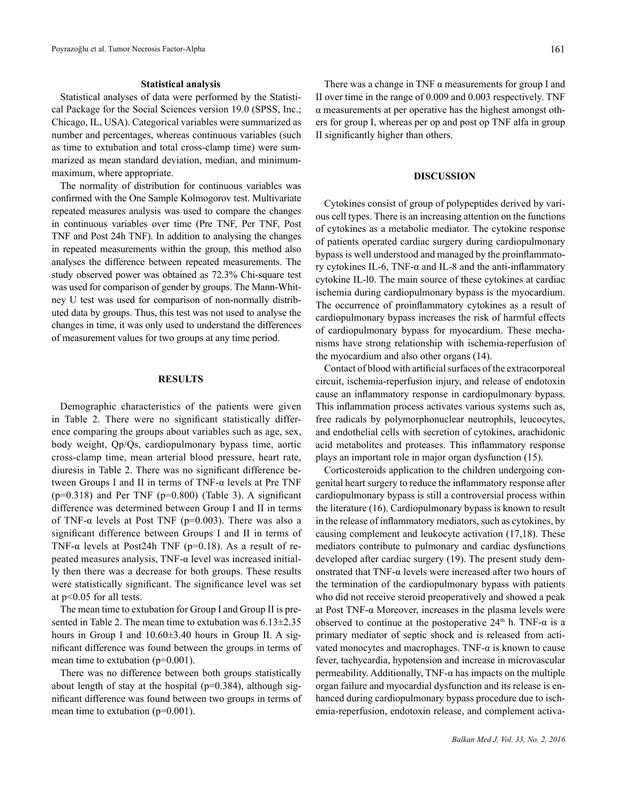#### **Statistical analysis**

Statistical analyses of data were performed by the Statistical Package for the Social Sciences version 19.0 (SPSS, Inc.; Chicago, IL, USA). Categorical variables were summarized as number and percentages, whereas continuous variables (such as time to extubation and total cross-clamp time) were summarized as mean standard deviation, median, and minimummaximum, where appropriate.

The normality of distribution for continuous variables was confirmed with the One Sample Kolmogorov test. Multivariate repeated measures analysis was used to compare the changes in continuous variables over time (Pre TNF, Per TNF, Post TNF and Post 24h TNF). In addition to analysing the changes in repeated measurements within the group, this method also analyses the difference between repeated measurements. The study observed power was obtained as 72.3% Chi-square test was used for comparison of gender by groups. The Mann-Whitney U test was used for comparison of non-normally distributed data by groups. Thus, this test was not used to analyse the changes in time, it was only used to understand the differences of measurement values for two groups at any time period.

## **RESULTS**

Demographic characteristics of the patients were given in Table 2. There were no significant statistically difference comparing the groups about variables such as age, sex, body weight, Qp/Qs, cardiopulmonary bypass time, aortic cross-clamp time, mean arterial blood pressure, heart rate, diuresis in Table 2. There was no significant difference between Groups I and II in terms of TNF-α levels at Pre TNF  $(p=0.318)$  and Per TNF  $(p=0.800)$  (Table 3). A significant difference was determined between Group I and II in terms of TNF- $\alpha$  levels at Post TNF (p=0.003). There was also a significant difference between Groups I and II in terms of TNF- $\alpha$  levels at Post24h TNF (p=0.18). As a result of repeated measures analysis, TNF-α level was increased initially then there was a decrease for both groups. These results were statistically significant. The significance level was set at p<0.05 for all tests.

The mean time to extubation for Group I and Group II is presented in Table 2. The mean time to extubation was 6.13±2.35 hours in Group I and  $10.60\pm3.40$  hours in Group II. A significant difference was found between the groups in terms of mean time to extubation ( $p=0.001$ ).

There was no difference between both groups statistically about length of stay at the hospital ( $p=0.384$ ), although significant difference was found between two groups in terms of mean time to extubation (p=0.001).

There was a change in TNF  $\alpha$  measurements for group I and II over time in the range of 0.009 and 0.003 respectively. TNF α measurements at per operative has the highest amongst others for group I, whereas per op and post op TNF alfa in group II significantly higher than others.

# **DISCUSSION**

Cytokines consist of group of polypeptides derived by various cell types. There is an increasing attention on the functions of cytokines as a metabolic mediator. The cytokine response of patients operated cardiac surgery during cardiopulmonary bypass is well understood and managed by the proinflammatory cytokines IL-6, TNF-α and IL-8 and the anti-inflammatory cytokine IL-l0. The main source of these cytokines at cardiac ischemia during cardiopulmonary bypass is the myocardium. The occurrence of proinflammatory cytokines as a result of cardiopulmonary bypass increases the risk of harmful effects of cardiopulmonary bypass for myocardium. These mechanisms have strong relationship with ischemia-reperfusion of the myocardium and also other organs (14).

Contact of blood with artificial surfaces of the extracorporeal circuit, ischemia-reperfusion injury, and release of endotoxin cause an inflammatory response in cardiopulmonary bypass. This inflammation process activates various systems such as, free radicals by polymorphonuclear neutrophils, leucocytes, and endothelial cells with secretion of cytokines, arachidonic acid metabolites and proteases. This inflammatory response plays an important role in major organ dysfunction (15).

Corticosteroids application to the children undergoing congenital heart surgery to reduce the inflammatory response after cardiopulmonary bypass is still a controversial process within the literature (16). Cardiopulmonary bypass is known to result in the release of inflammatory mediators, such as cytokines, by causing complement and leukocyte activation (17,18). These mediators contribute to pulmonary and cardiac dysfunctions developed after cardiac surgery (19). The present study demonstrated that TNF- $\alpha$  levels were increased after two hours of the termination of the cardiopulmonary bypass with patients who did not receive steroid preoperatively and showed a peak at Post TNF- $\alpha$  Moreover, increases in the plasma levels were observed to continue at the postoperative  $24<sup>th</sup>$  h. TNF- $\alpha$  is a primary mediator of septic shock and is released from activated monocytes and macrophages. TNF- $\alpha$  is known to cause fever, tachycardia, hypotension and increase in microvascular permeability. Additionally, TNF- $\alpha$  has impacts on the multiple organ failure and myocardial dysfunction and its release is enhanced during cardiopulmonary bypass procedure due to ischemia-reperfusion, endotoxin release, and complement activa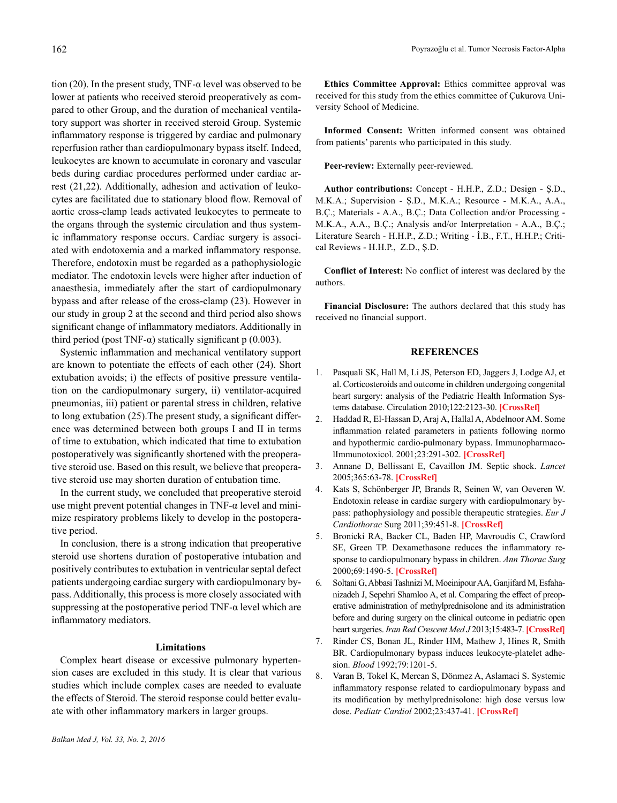tion (20). In the present study, TNF- $\alpha$  level was observed to be lower at patients who received steroid preoperatively as compared to other Group, and the duration of mechanical ventilatory support was shorter in received steroid Group. Systemic inflammatory response is triggered by cardiac and pulmonary reperfusion rather than cardiopulmonary bypass itself. Indeed, leukocytes are known to accumulate in coronary and vascular beds during cardiac procedures performed under cardiac arrest (21,22). Additionally, adhesion and activation of leukocytes are facilitated due to stationary blood flow. Removal of aortic cross-clamp leads activated leukocytes to permeate to the organs through the systemic circulation and thus systemic inflammatory response occurs. Cardiac surgery is associated with endotoxemia and a marked inflammatory response. Therefore, endotoxin must be regarded as a pathophysiologic mediator. The endotoxin levels were higher after induction of anaesthesia, immediately after the start of cardiopulmonary bypass and after release of the cross-clamp (23). However in our study in group 2 at the second and third period also shows significant change of inflammatory mediators. Additionally in third period (post TNF-α) statically significant p  $(0.003)$ .

Systemic inflammation and mechanical ventilatory support are known to potentiate the effects of each other (24). Short extubation avoids; i) the effects of positive pressure ventilation on the cardiopulmonary surgery, ii) ventilator-acquired pneumonias, iii) patient or parental stress in children, relative to long extubation (25).The present study, a significant difference was determined between both groups I and II in terms of time to extubation, which indicated that time to extubation postoperatively was significantly shortened with the preoperative steroid use. Based on this result, we believe that preoperative steroid use may shorten duration of entubation time.

In the current study, we concluded that preoperative steroid use might prevent potential changes in  $TNF-\alpha$  level and minimize respiratory problems likely to develop in the postoperative period.

In conclusion, there is a strong indication that preoperative steroid use shortens duration of postoperative intubation and positively contributes to extubation in ventricular septal defect patients undergoing cardiac surgery with cardiopulmonary bypass. Additionally, this process is more closely associated with suppressing at the postoperative period TNF- $\alpha$  level which are inflammatory mediators.

#### **Limitations**

Complex heart disease or excessive pulmonary hypertension cases are excluded in this study. It is clear that various studies which include complex cases are needed to evaluate the effects of Steroid. The steroid response could better evaluate with other inflammatory markers in larger groups.

**Ethics Committee Approval:** Ethics committee approval was received for this study from the ethics committee of Çukurova University School of Medicine.

**Informed Consent:** Written informed consent was obtained from patients' parents who participated in this study.

Peer-review: Externally peer-reviewed.

**Author contributions:** Concept - H.H.P., Z.D.; Design - Ş.D., M.K.A.; Supervision - Ş.D., M.K.A.; Resource - M.K.A., A.A., B.Ç.; Materials - A.A., B.Ç.; Data Collection and/or Processing - M.K.A., A.A., B.Ç.; Analysis and/or Interpretation - A.A., B.Ç.; Literature Search - H.H.P., Z.D.; Writing - İ.B., F.T., H.H.P.; Critical Reviews - H.H.P., Z.D., Ş.D.

**Conflict of Interest:** No conflict of interest was declared by the authors.

**Financial Disclosure:** The authors declared that this study has received no financial support.

#### **REFERENCES**

- 1. Pasquali SK, Hall M, Li JS, Peterson ED, Jaggers J, Lodge AJ, et al. Corticosteroids and outcome in children undergoing congenital heart surgery: analysis of the Pediatric Health Information Systems database. Circulation 2010;122:2123-30. **[\[CrossRef\]](http://dx.doi.org/10.1161/CIRCULATIONAHA.110.948737)**
- 2. Haddad R, El-Hassan D, Araj A, Hallal A, Abdelnoor AM. Some inflammation related parameters in patients following normo and hypothermic cardio-pulmonary bypass. ImmunopharmacolImmunotoxicol. 2001;23:291-302. **[[CrossRef](http://dx.doi.org/10.1081/iph-100103867)]**
- 3. Annane D, Bellissant E, Cavaillon JM. Septic shock. *Lancet* 2005;365:63-78. **[[CrossRef](http://dx.doi.org/10.1016/S0140-6736(04)17667-8)]**
- 4. Kats S, Schönberger JP, Brands R, Seinen W, van Oeveren W. Endotoxin release in cardiac surgery with cardiopulmonary bypass: pathophysiology and possible therapeutic strategies. *Eur J Cardiothorac* Surg 2011;39:451-8. **[[CrossRef](http://dx.doi.org/10.1016/j.ejcts.2010.06.011)]**
- 5. Bronicki RA, Backer CL, Baden HP, Mavroudis C, Crawford SE, Green TP. Dexamethasone reduces the inflammatory response to cardiopulmonary bypass in children. *Ann Thorac Surg* 2000;69:1490-5. **[[CrossRef](http://dx.doi.org/10.1016/S0003-4975(00)01082-1)]**
- 6. Soltani G, Abbasi Tashnizi M, Moeinipour AA, Ganjifard M, Esfahanizadeh J, Sepehri Shamloo A, et al. Comparing the effect of preoperative administration of methylprednisolone and its administration before and during surgery on the clinical outcome in pediatric open heart surgeries. *Iran Red Crescent Med J* 2013;15:483-7. **[\[CrossRef](http://dx.doi.org/10.5812/ircmj.8105)]**
- 7. Rinder CS, Bonan JL, Rinder HM, Mathew J, Hines R, Smith BR. Cardiopulmonary bypass induces leukocyte-platelet adhesion. *Blood* 1992;79:1201-5.
- 8. Varan B, Tokel K, Mercan S, Dönmez A, Aslamaci S. Systemic inflammatory response related to cardiopulmonary bypass and its modification by methylprednisolone: high dose versus low dose. *Pediatr Cardiol* 2002;23:437-41. **[[CrossRef](http://dx.doi.org/10.1007/s00246-002-0118-3)]**